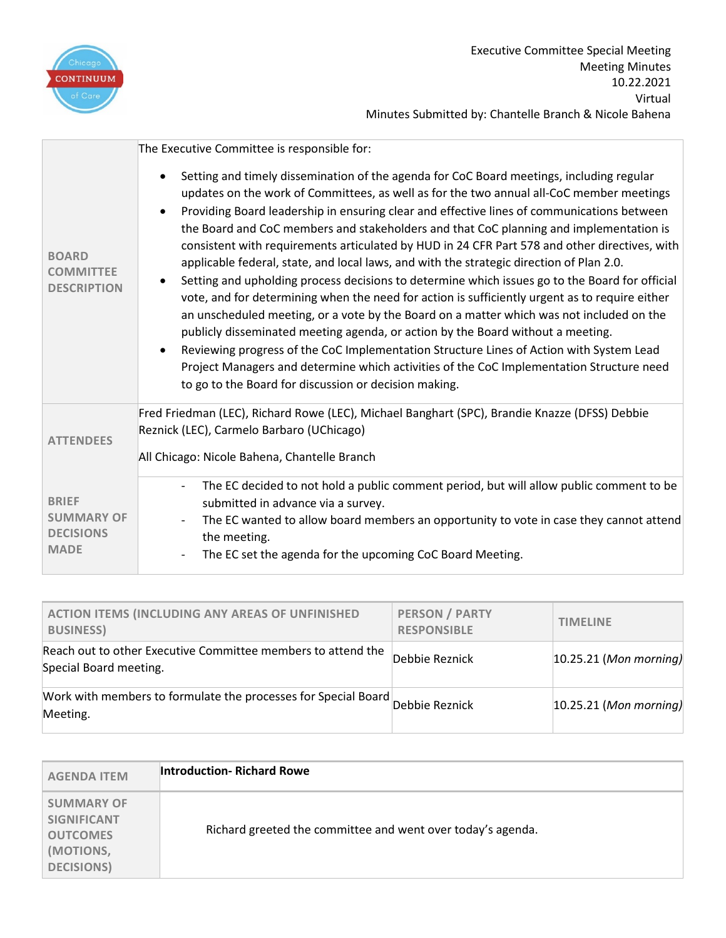

| <b>BOARD</b><br><b>COMMITTEE</b><br><b>DESCRIPTION</b>               | The Executive Committee is responsible for:<br>Setting and timely dissemination of the agenda for CoC Board meetings, including regular<br>updates on the work of Committees, as well as for the two annual all-CoC member meetings<br>Providing Board leadership in ensuring clear and effective lines of communications between<br>the Board and CoC members and stakeholders and that CoC planning and implementation is<br>consistent with requirements articulated by HUD in 24 CFR Part 578 and other directives, with<br>applicable federal, state, and local laws, and with the strategic direction of Plan 2.0.<br>Setting and upholding process decisions to determine which issues go to the Board for official<br>vote, and for determining when the need for action is sufficiently urgent as to require either |
|----------------------------------------------------------------------|------------------------------------------------------------------------------------------------------------------------------------------------------------------------------------------------------------------------------------------------------------------------------------------------------------------------------------------------------------------------------------------------------------------------------------------------------------------------------------------------------------------------------------------------------------------------------------------------------------------------------------------------------------------------------------------------------------------------------------------------------------------------------------------------------------------------------|
|                                                                      | an unscheduled meeting, or a vote by the Board on a matter which was not included on the<br>publicly disseminated meeting agenda, or action by the Board without a meeting.<br>Reviewing progress of the CoC Implementation Structure Lines of Action with System Lead<br>Project Managers and determine which activities of the CoC Implementation Structure need<br>to go to the Board for discussion or decision making.                                                                                                                                                                                                                                                                                                                                                                                                  |
| <b>ATTENDEES</b>                                                     | Fred Friedman (LEC), Richard Rowe (LEC), Michael Banghart (SPC), Brandie Knazze (DFSS) Debbie<br>Reznick (LEC), Carmelo Barbaro (UChicago)<br>All Chicago: Nicole Bahena, Chantelle Branch                                                                                                                                                                                                                                                                                                                                                                                                                                                                                                                                                                                                                                   |
| <b>BRIEF</b><br><b>SUMMARY OF</b><br><b>DECISIONS</b><br><b>MADE</b> | The EC decided to not hold a public comment period, but will allow public comment to be<br>submitted in advance via a survey.<br>The EC wanted to allow board members an opportunity to vote in case they cannot attend<br>the meeting.<br>The EC set the agenda for the upcoming CoC Board Meeting.                                                                                                                                                                                                                                                                                                                                                                                                                                                                                                                         |

| <b>ACTION ITEMS (INCLUDING ANY AREAS OF UNFINISHED</b><br><b>BUSINESS)</b>                | <b>PERSON / PARTY</b><br><b>RESPONSIBLE</b> | <b>TIMELINE</b>            |
|-------------------------------------------------------------------------------------------|---------------------------------------------|----------------------------|
| Reach out to other Executive Committee members to attend the<br>Special Board meeting.    | Debbie Reznick                              | $ 10.25.21 $ (Mon morning) |
| Work with members to formulate the processes for Special Board Debbie Reznick<br>Meeting. |                                             | $ 10.25.21 $ (Mon morning) |

| <b>AGENDA ITEM</b>                                                                          | <b>Introduction- Richard Rowe</b>                           |
|---------------------------------------------------------------------------------------------|-------------------------------------------------------------|
| <b>SUMMARY OF</b><br><b>SIGNIFICANT</b><br><b>OUTCOMES</b><br>(MOTIONS,<br><b>DECISIONS</b> | Richard greeted the committee and went over today's agenda. |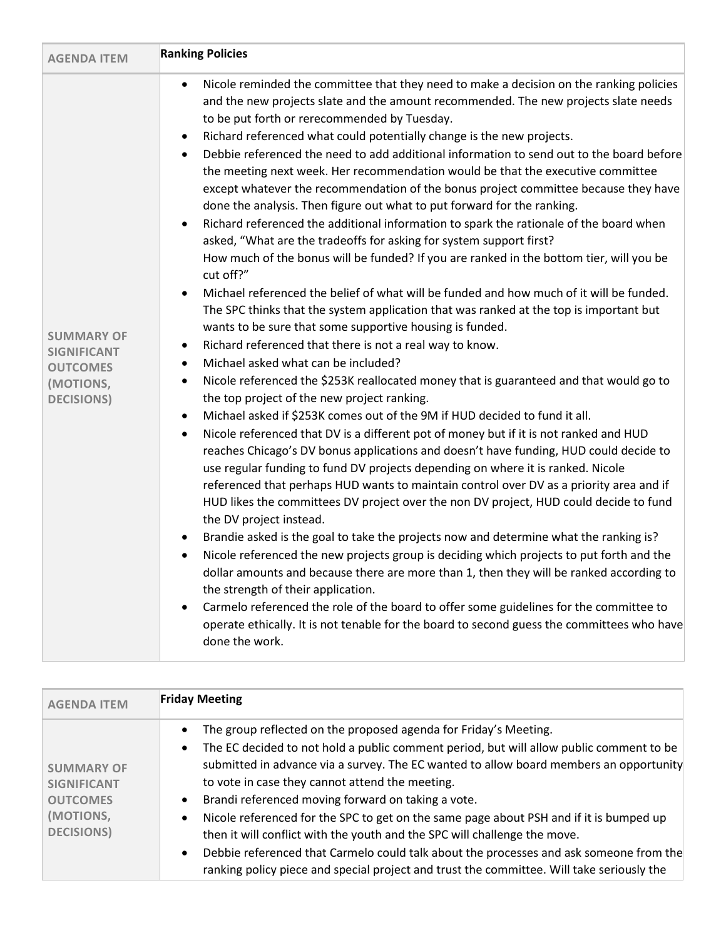| <b>AGENDA ITEM</b>                                                                            | <b>Friday Meeting</b>                                                                                                                                                                                                                                                                                                                                                                                                                                                                                                                                                                                                                                                                                                                                                                         |
|-----------------------------------------------------------------------------------------------|-----------------------------------------------------------------------------------------------------------------------------------------------------------------------------------------------------------------------------------------------------------------------------------------------------------------------------------------------------------------------------------------------------------------------------------------------------------------------------------------------------------------------------------------------------------------------------------------------------------------------------------------------------------------------------------------------------------------------------------------------------------------------------------------------|
| <b>SUMMARY OF</b><br><b>SIGNIFICANT</b><br><b>OUTCOMES</b><br>(MOTIONS,<br><b>DECISIONS</b> ) | The group reflected on the proposed agenda for Friday's Meeting.<br>$\bullet$<br>The EC decided to not hold a public comment period, but will allow public comment to be<br>$\bullet$<br>submitted in advance via a survey. The EC wanted to allow board members an opportunity<br>to vote in case they cannot attend the meeting.<br>Brandi referenced moving forward on taking a vote.<br>$\bullet$<br>Nicole referenced for the SPC to get on the same page about PSH and if it is bumped up<br>$\bullet$<br>then it will conflict with the youth and the SPC will challenge the move.<br>Debbie referenced that Carmelo could talk about the processes and ask someone from the<br>$\bullet$<br>ranking policy piece and special project and trust the committee. Will take seriously the |